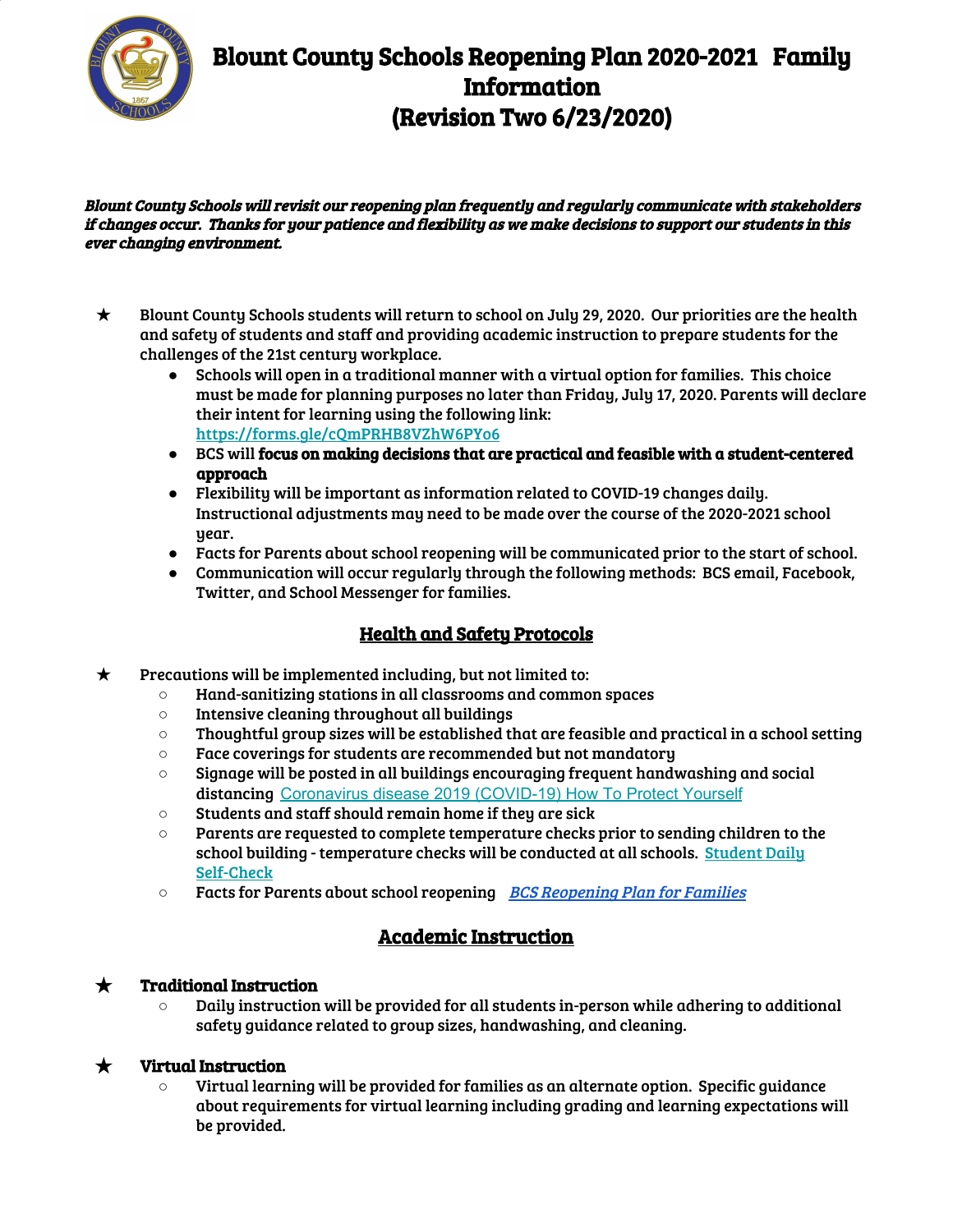

# Blount County Schools Reopening Plan 2020-2021 Family Information (Revision Two 6/23/2020)

Blount County Schools will revisit our reopening plan frequently and regularly communicate with stakeholders if changes occur. Thanks for your patience and flexibility as we make decisions to support our students in this ever changing environment.

- ★ Blount County Schools students will return to school on July 29, 2020. Our priorities are the health and safety of students and staff and providing academic instruction to prepare students for the challenges of the 21st century workplace.
	- Schools will open in a traditional manner with a virtual option for families. This choice must be made for planning purposes no later than Friday, July 17, 2020. Parents will declare their intent for learning using the following link: <https://forms.gle/cQmPRHB8VZhW6PYo6>
	- BCS will focus on making decisions that are practical and feasible with a student-centered approach
	- Flexibility will be important as information related to COVID-19 changes daily. Instructional adjustments may need to be made over the course of the 2020-2021 school year.
	- Facts for Parents about school reopening will be communicated prior to the start of school.
	- Communication will occur regularly through the following methods: BCS email, Facebook, Twitter, and School Messenger for families.

### Health and Safety Protocols

- $\star$  Precautions will be implemented including, but not limited to:
	- Hand-sanitizing stations in all classrooms and common spaces
	- Intensive cleaning throughout all buildings
	- $\circ$  Thoughtful group sizes will be established that are feasible and practical in a school setting
	- Face coverings for students are recommended but not mandatory
	- $\circ$  Signage will be posted in all buildings encouraging frequent handwashing and social distancing [Coronavirus disease 2019 \(COVID-19\) How To Protect Yourself](https://www.cdc.gov/coronavirus/2019-ncov/prevent-getting-sick/prevention-H.pdf)
	- Students and staff should remain home if they are sick
	- Parents are requested to complete temperature checks prior to sending children to the school building - temperature checks will be conducted at all schools. [Student](https://docs.google.com/document/d/1-1rZuNcHDBXxr00slVEPtQQY5xhQNQNve_ZAKwGCwf4/edit?usp=sharing) Daily [Self-Check](https://docs.google.com/document/d/1-1rZuNcHDBXxr00slVEPtQQY5xhQNQNve_ZAKwGCwf4/edit?usp=sharing)
	- Facts for Parents about school reopening BCS [Reopening](https://docs.google.com/document/d/1fGnqB1gPzo-E53PF7jXCeVdObVVqYWzM98aR5Ohp8tM/edit?usp=sharing) Plan for Families

### Academic Instruction

#### $\star$  Traditional Instruction

 $\circ$  Daily instruction will be provided for all students in-person while adhering to additional safety guidance related to group sizes, handwashing, and cleaning.

#### $\star$  Virtual Instruction

 $\circ$  Virtual learning will be provided for families as an alternate option. Specific guidance about requirements for virtual learning including grading and learning expectations will be provided.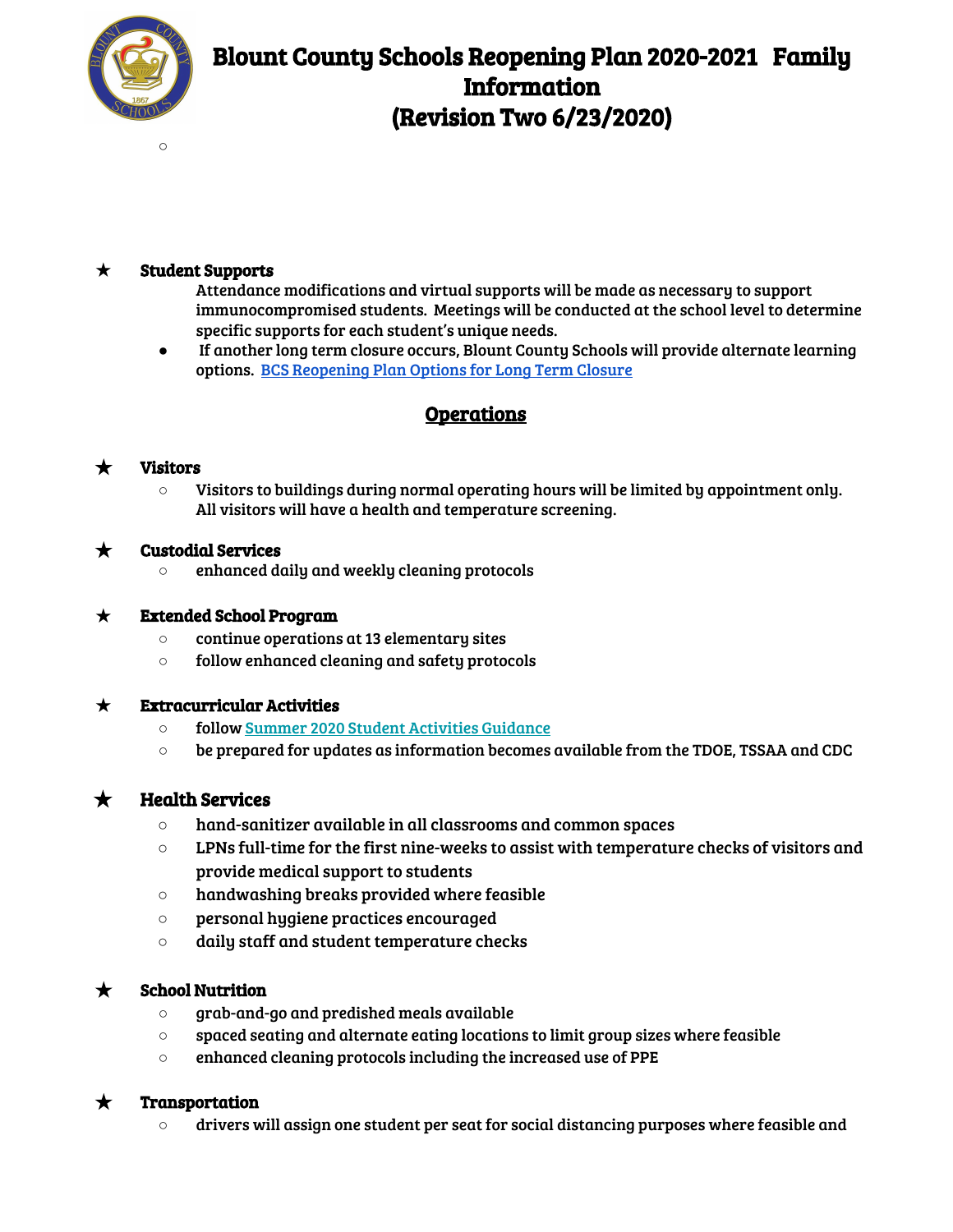

## Blount County Schools Reopening Plan 2020-2021 Family Information (Revision Two 6/23/2020)

 $\circ$ 

#### $\star$  Student Supports

- Attendance modifications and virtual supports will be made as necessary to support immunocompromised students. Meetings will be conducted at the school level to determine specific supports for each student's unique needs.
- If another long term closure occurs, Blount County Schools will provide alternate learning options. BCS [Reopening](https://docs.google.com/document/d/19WVaSXVv7Ny9JuRpdFopTYidtYYgs0znXGl6gOmgLSg/edit?usp=sharing) Plan Options for Long Term Closure

### Operations

#### ★ Visitors

○ Visitors to buildings during normal operating hours will be limited by appointment only. All visitors will have a health and temperature screening.

#### $\star$  Custodial Services

**○** enhanced daily and weekly cleaning protocols

#### $\star$  Extended School Program

- continue operations at 13 elementary sites
- follow enhanced cleaning and safety protocols

#### $\star$  Extracurricular Activities

- follow Summer 2020 Student [Activities](https://docs.google.com/document/d/1aXksxkFpxY_p1mGr6TjW-BdogsLYAMEQFdgkDSY3Aoc/edit?usp=sharing) Guidance
- be prepared for updates as information becomes available from the TDOE, TSSAA and CDC

#### $\bigstar$  Health Services

- hand-sanitizer available in all classrooms and common spaces
- $\circ$  LPNs full-time for the first nine-weeks to assist with temperature checks of visitors and provide medical support to students
- handwashing breaks provided where feasible
- personal hygiene practices encouraged
- daily staff and student temperature checks

#### **School Nutrition**

- grab-and-go and predished meals available
- spaced seating and alternate eating locations to limit group sizes where feasible
- enhanced cleaning protocols including the increased use of PPE

#### $\star$  Transportation

 $\circ$  drivers will assign one student per seat for social distancing purposes where feasible and